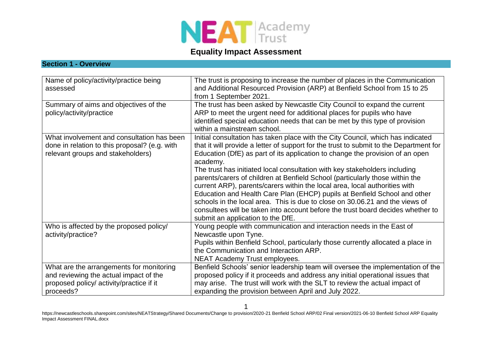

# **Equality Impact Assessment**

#### **Section 1 - Overview**

| Name of policy/activity/practice being<br>assessed | The trust is proposing to increase the number of places in the Communication<br>and Additional Resourced Provision (ARP) at Benfield School from 15 to 25<br>from 1 September 2021. |
|----------------------------------------------------|-------------------------------------------------------------------------------------------------------------------------------------------------------------------------------------|
| Summary of aims and objectives of the              | The trust has been asked by Newcastle City Council to expand the current                                                                                                            |
| policy/activity/practice                           | ARP to meet the urgent need for additional places for pupils who have                                                                                                               |
|                                                    | identified special education needs that can be met by this type of provision                                                                                                        |
|                                                    | within a mainstream school.                                                                                                                                                         |
| What involvement and consultation has been         | Initial consultation has taken place with the City Council, which has indicated                                                                                                     |
| done in relation to this proposal? (e.g. with      | that it will provide a letter of support for the trust to submit to the Department for                                                                                              |
| relevant groups and stakeholders)                  | Education (DfE) as part of its application to change the provision of an open                                                                                                       |
|                                                    | academy.                                                                                                                                                                            |
|                                                    | The trust has initiated local consultation with key stakeholders including                                                                                                          |
|                                                    | parents/carers of children at Benfield School (particularly those within the                                                                                                        |
|                                                    | current ARP), parents/carers within the local area, local authorities with                                                                                                          |
|                                                    | Education and Health Care Plan (EHCP) pupils at Benfield School and other                                                                                                           |
|                                                    | schools in the local area. This is due to close on 30.06.21 and the views of                                                                                                        |
|                                                    | consultees will be taken into account before the trust board decides whether to                                                                                                     |
|                                                    | submit an application to the DfE.                                                                                                                                                   |
| Who is affected by the proposed policy/            | Young people with communication and interaction needs in the East of                                                                                                                |
| activity/practice?                                 | Newcastle upon Tyne.                                                                                                                                                                |
|                                                    | Pupils within Benfield School, particularly those currently allocated a place in                                                                                                    |
|                                                    | the Communication and Interaction ARP.                                                                                                                                              |
|                                                    | <b>NEAT Academy Trust employees.</b>                                                                                                                                                |
| What are the arrangements for monitoring           | Benfield Schools' senior leadership team will oversee the implementation of the                                                                                                     |
| and reviewing the actual impact of the             | proposed policy if it proceeds and address any initial operational issues that                                                                                                      |
| proposed policy/ activity/practice if it           | may arise. The trust will work with the SLT to review the actual impact of                                                                                                          |
| proceeds?                                          | expanding the provision between April and July 2022.                                                                                                                                |

1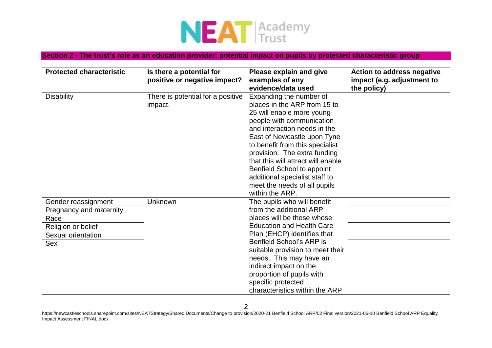

## **Section 2 - The trust's role as an education provider: potential impact on pupils by protected characteristic group**

| <b>Protected characteristic</b> | Is there a potential for<br>positive or negative impact? | Please explain and give<br>examples of any<br>evidence/data used | <b>Action to address negative</b><br>impact (e.g. adjustment to<br>the policy) |
|---------------------------------|----------------------------------------------------------|------------------------------------------------------------------|--------------------------------------------------------------------------------|
| <b>Disability</b>               | There is potential for a positive                        | Expanding the number of                                          |                                                                                |
|                                 | impact.                                                  | places in the ARP from 15 to                                     |                                                                                |
|                                 |                                                          | 25 will enable more young                                        |                                                                                |
|                                 |                                                          | people with communication                                        |                                                                                |
|                                 |                                                          | and interaction needs in the                                     |                                                                                |
|                                 |                                                          | East of Newcastle upon Tyne                                      |                                                                                |
|                                 |                                                          | to benefit from this specialist                                  |                                                                                |
|                                 |                                                          | provision. The extra funding                                     |                                                                                |
|                                 |                                                          | that this will attract will enable                               |                                                                                |
|                                 |                                                          | Benfield School to appoint                                       |                                                                                |
|                                 |                                                          | additional specialist staff to                                   |                                                                                |
|                                 |                                                          | meet the needs of all pupils                                     |                                                                                |
|                                 |                                                          | within the ARP.                                                  |                                                                                |
| Gender reassignment             | <b>Unknown</b>                                           | The pupils who will benefit                                      |                                                                                |
| Pregnancy and maternity         |                                                          | from the additional ARP                                          |                                                                                |
| Race                            |                                                          | places will be those whose                                       |                                                                                |
| Religion or belief              |                                                          | <b>Education and Health Care</b>                                 |                                                                                |
| Sexual orientation              |                                                          | Plan (EHCP) identifies that                                      |                                                                                |
| <b>Sex</b>                      |                                                          | <b>Benfield School's ARP is</b>                                  |                                                                                |
|                                 |                                                          | suitable provision to meet their                                 |                                                                                |
|                                 |                                                          | needs. This may have an                                          |                                                                                |
|                                 |                                                          | indirect impact on the                                           |                                                                                |
|                                 |                                                          | proportion of pupils with                                        |                                                                                |
|                                 |                                                          | specific protected                                               |                                                                                |
|                                 |                                                          | characteristics within the ARP                                   |                                                                                |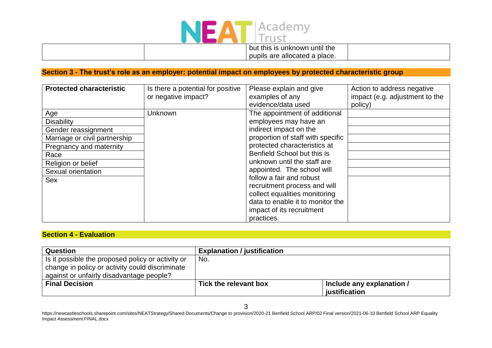

pupils are allocated a place.

## **Section 3 - The trust's role as an employer: potential impact on employees by protected characteristic group**

| <b>Protected characteristic</b> | Is there a potential for positive | Please explain and give           | Action to address negative     |
|---------------------------------|-----------------------------------|-----------------------------------|--------------------------------|
|                                 | or negative impact?               | examples of any                   | impact (e.g. adjustment to the |
|                                 |                                   | evidence/data used                | policy)                        |
| Age                             | <b>Unknown</b>                    | The appointment of additional     |                                |
| <b>Disability</b>               |                                   | employees may have an             |                                |
| Gender reassignment             |                                   | indirect impact on the            |                                |
| Marriage or civil partnership   |                                   | proportion of staff with specific |                                |
| Pregnancy and maternity         |                                   | protected characteristics at      |                                |
| Race                            |                                   | Benfield School but this is       |                                |
| Religion or belief              |                                   | unknown until the staff are       |                                |
| Sexual orientation              |                                   | appointed. The school will        |                                |
| <b>Sex</b>                      |                                   | follow a fair and robust          |                                |
|                                 |                                   | recruitment process and will      |                                |
|                                 |                                   | collect equalities monitoring     |                                |
|                                 |                                   | data to enable it to monitor the  |                                |
|                                 |                                   | impact of its recruitment         |                                |
|                                 |                                   | practices.                        |                                |

### **Section 4 - Evaluation**

| <b>Question</b>                                   | <b>Explanation / justification</b> |                           |
|---------------------------------------------------|------------------------------------|---------------------------|
| Is it possible the proposed policy or activity or | No.                                |                           |
| change in policy or activity could discriminate   |                                    |                           |
| against or unfairly disadvantage people?          |                                    |                           |
| <b>Final Decision</b>                             | Tick the relevant box              | Include any explanation / |
|                                                   |                                    | justification             |